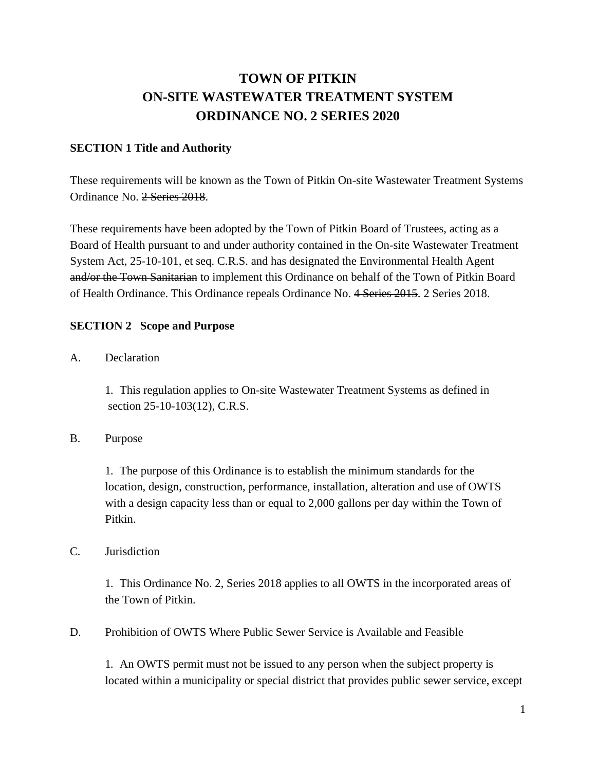## **TOWN OF PITKIN ON-SITE WASTEWATER TREATMENT SYSTEM ORDINANCE NO. 2 SERIES 2020**

## **SECTION 1 Title and Authority**

These requirements will be known as the Town of Pitkin On-site Wastewater Treatment Systems Ordinance No. 2 Series 2018.

These requirements have been adopted by the Town of Pitkin Board of Trustees, acting as a Board of Health pursuant to and under authority contained in the On-site Wastewater Treatment System Act, 25-10-101, et seq. C.R.S. and has designated the Environmental Health Agent and/or the Town Sanitarian to implement this Ordinance on behalf of the Town of Pitkin Board of Health Ordinance. This Ordinance repeals Ordinance No. 4 Series 2015. 2 Series 2018.

### **SECTION 2 Scope and Purpose**

A. Declaration

1. This regulation applies to On-site Wastewater Treatment Systems as defined in section 25-10-103(12), C.R.S.

B. Purpose

1. The purpose of this Ordinance is to establish the minimum standards for the location, design, construction, performance, installation, alteration and use of OWTS with a design capacity less than or equal to 2,000 gallons per day within the Town of Pitkin.

#### C. Jurisdiction

1. This Ordinance No. 2, Series 2018 applies to all OWTS in the incorporated areas of the Town of Pitkin.

D. Prohibition of OWTS Where Public Sewer Service is Available and Feasible

1. An OWTS permit must not be issued to any person when the subject property is located within a municipality or special district that provides public sewer service, except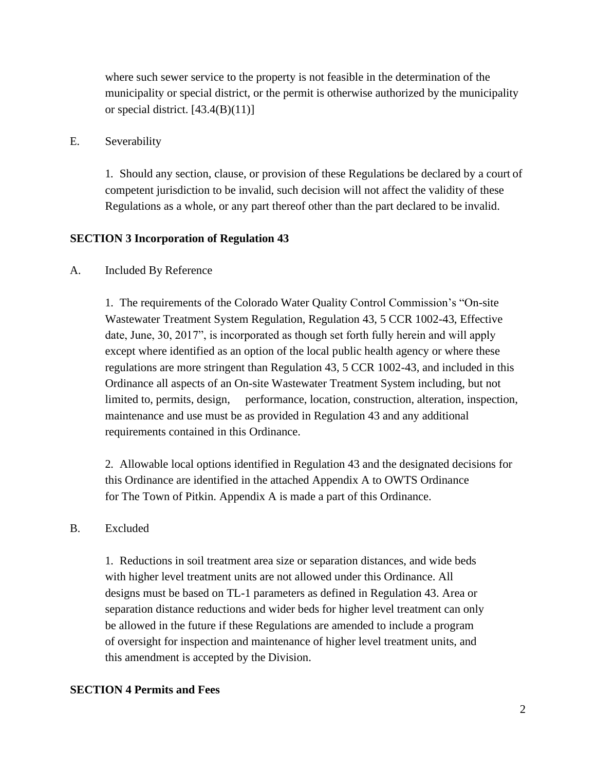where such sewer service to the property is not feasible in the determination of the municipality or special district, or the permit is otherwise authorized by the municipality or special district.  $[43.4(B)(11)]$ 

#### E. Severability

1. Should any section, clause, or provision of these Regulations be declared by a court of competent jurisdiction to be invalid, such decision will not affect the validity of these Regulations as a whole, or any part thereof other than the part declared to be invalid.

#### **SECTION 3 Incorporation of Regulation 43**

#### A. Included By Reference

1. The requirements of the Colorado Water Quality Control Commission's "On-site Wastewater Treatment System Regulation, Regulation 43, 5 CCR 1002-43, Effective date, June, 30, 2017", is incorporated as though set forth fully herein and will apply except where identified as an option of the local public health agency or where these regulations are more stringent than Regulation 43, 5 CCR 1002-43, and included in this Ordinance all aspects of an On-site Wastewater Treatment System including, but not limited to, permits, design, performance, location, construction, alteration, inspection, maintenance and use must be as provided in Regulation 43 and any additional requirements contained in this Ordinance.

2. Allowable local options identified in Regulation 43 and the designated decisions for this Ordinance are identified in the attached Appendix A to OWTS Ordinance for The Town of Pitkin. Appendix A is made a part of this Ordinance.

#### B. Excluded

1. Reductions in soil treatment area size or separation distances, and wide beds with higher level treatment units are not allowed under this Ordinance. All designs must be based on TL-1 parameters as defined in Regulation 43. Area or separation distance reductions and wider beds for higher level treatment can only be allowed in the future if these Regulations are amended to include a program of oversight for inspection and maintenance of higher level treatment units, and this amendment is accepted by the Division.

#### **SECTION 4 Permits and Fees**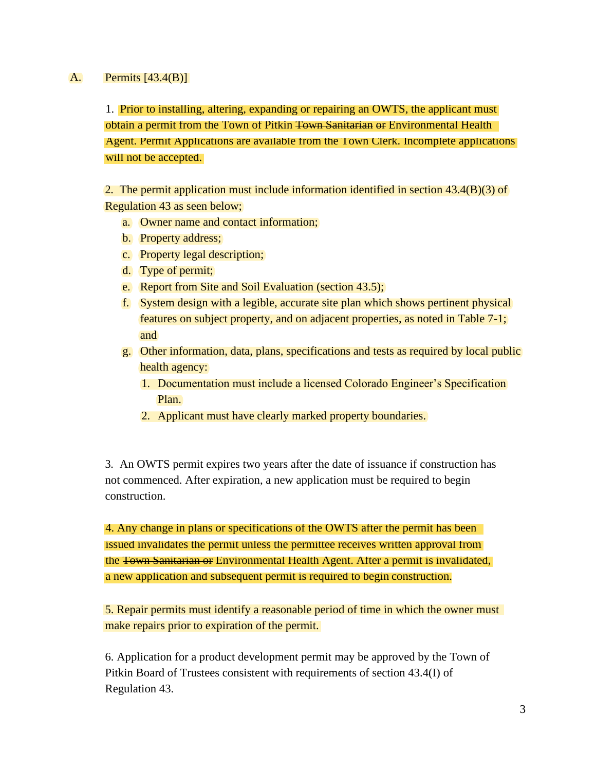#### A. Permits [43.4(B)]

1. Prior to installing, altering, expanding or repairing an OWTS, the applicant must obtain a permit from the Town of Pitkin <del>Town Sanitarian or</del> Environmental Health Agent. Permit Applications are available from the Town Clerk. Incomplete applications will not be accepted.

2. The permit application must include information identified in section 43.4(B)(3) of Regulation 43 as seen below;

- a. Owner name and contact information;
- b. Property address;
- c. Property legal description;
- d. Type of permit;
- e. Report from Site and Soil Evaluation (section 43.5);
- f. System design with a legible, accurate site plan which shows pertinent physical features on subject property, and on adjacent properties, as noted in Table 7-1; and
- g. Other information, data, plans, specifications and tests as required by local public health agency:
	- 1. Documentation must include a licensed Colorado Engineer's Specification Plan.
	- 2. Applicant must have clearly marked property boundaries.

3. An OWTS permit expires two years after the date of issuance if construction has not commenced. After expiration, a new application must be required to begin construction.

4. Any change in plans or specifications of the OWTS after the permit has been issued invalidates the permit unless the permittee receives written approval from the Town Sanitarian or Environmental Health Agent. After a permit is invalidated, a new application and subsequent permit is required to begin construction.

5. Repair permits must identify a reasonable period of time in which the owner must make repairs prior to expiration of the permit.

6. Application for a product development permit may be approved by the Town of Pitkin Board of Trustees consistent with requirements of section 43.4(I) of Regulation 43.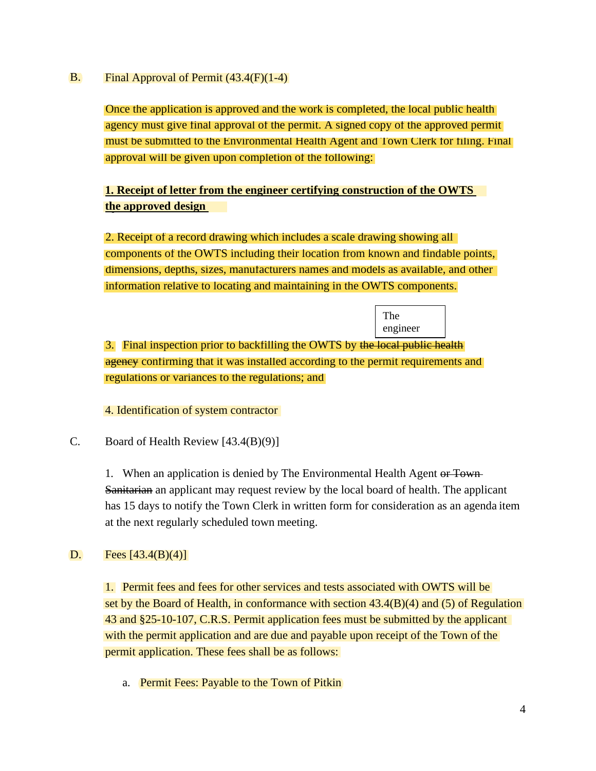#### B. Final Approval of Permit (43.4(F)(1-4)

Once the application is approved and the work is completed, the local public health agency must give final approval of the permit. A signed copy of the approved permit must be submitted to the Environmental Health Agent and Town Clerk for filing. Final approval will be given upon completion of the following:

## **1. Receipt of letter from the engineer certifying construction of the OWTS the approved design plan.**

2. Receipt of a record drawing which includes a scale drawing showing all components of the OWTS including their location from known and findable points, dimensions, depths, sizes, manufacturers names and models as available, and other information relative to locating and maintaining in the OWTS components.

> The engineer

3. Final inspection prior to backfilling the OWTS by the local public health agency confirming that it was installed according to the permit requirements and regulations or variances to the regulations; and

4. Identification of system contractor

C. Board of Health Review [43.4(B)(9)]

1. When an application is denied by The Environmental Health Agent or Town-Sanitarian an applicant may request review by the local board of health. The applicant has 15 days to notify the Town Clerk in written form for consideration as an agenda item at the next regularly scheduled town meeting.

#### D. Fees  $[43.4(B)(4)]$

1. Permit fees and fees for other services and tests associated with OWTS will be set by the Board of Health, in conformance with section  $43.4(B)(4)$  and  $(5)$  of Regulation 43 and §25-10-107, C.R.S. Permit application fees must be submitted by the applicant with the permit application and are due and payable upon receipt of the Town of the permit application. These fees shall be as follows:

a. Permit Fees: Payable to the Town of Pitkin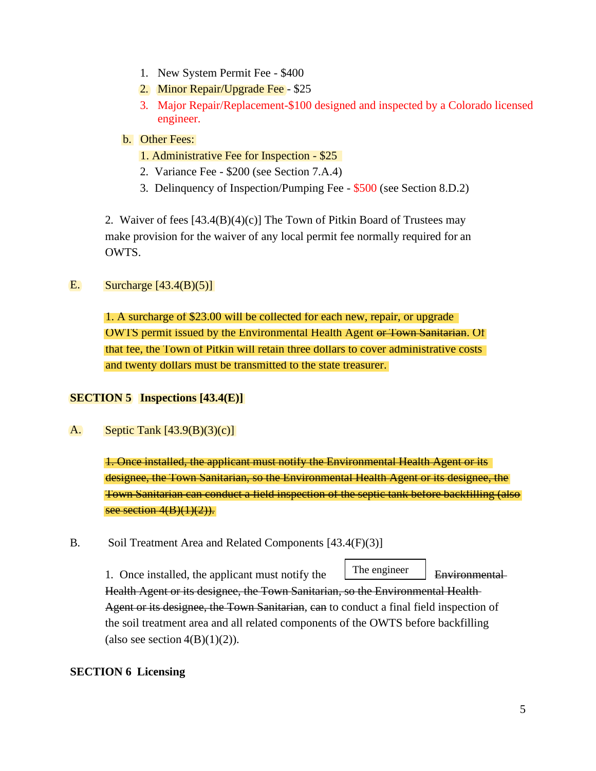- 1. New System Permit Fee \$400
- 2. Minor Repair/Upgrade Fee \$25
- 3. Major Repair/Replacement-\$100 designed and inspected by a Colorado licensed engineer.
- b. Other Fees:
	- 1. Administrative Fee for Inspection \$25
	- 2. Variance Fee \$200 (see Section 7.A.4)
	- 3. Delinquency of Inspection/Pumping Fee \$500 (see Section 8.D.2)

2. Waiver of fees [43.4(B)(4)(c)] The Town of Pitkin Board of Trustees may make provision for the waiver of any local permit fee normally required for an OWTS.

#### E. Surcharge  $[43.4(B)(5)]$

1. A surcharge of \$23.00 will be collected for each new, repair, or upgrade OWTS permit issued by the Environmental Health Agent or Town Sanitarian. Of that fee, the Town of Pitkin will retain three dollars to cover administrative costs and twenty dollars must be transmitted to the state treasurer.

## **SECTION 5 Inspections [43.4(E)]**

A. Septic Tank [43.9(B)(3)(c)]

> 1. Once installed, the applicant must notify the Environmental Health Agent or its designee, the Town Sanitarian, so the Environmental Health Agent or its designee, the Town Sanitarian can conduct a field inspection of the septic tank before backfilling (also see section  $4(B)(1)(2)$ .

B. Soil Treatment Area and Related Components [43.4(F)(3)]

The engineer

1. Once installed, the applicant must notify the  $\lfloor$  Ine engineer Environmental

Health Agent or its designee, the Town Sanitarian, so the Environmental Health Agent or its designee, the Town Sanitarian, can to conduct a final field inspection of the soil treatment area and all related components of the OWTS before backfilling (also see section  $4(B)(1)(2)$ ).

## **SECTION 6 Licensing**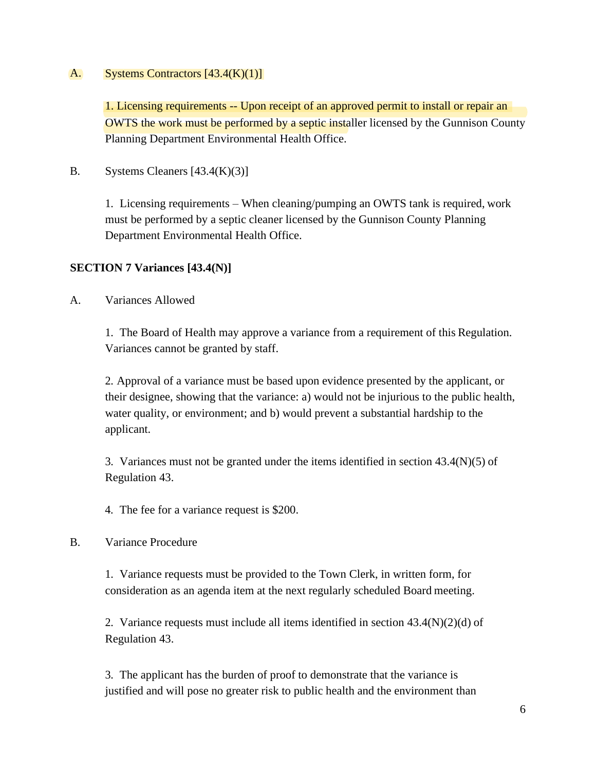#### A. Systems Contractors [43.4(K)(1)]

OWTS the work must be performed by a septic installer licensed by the Gunnison County Planning Department Environmental Health Office. 1. Licensing requirements -- Upon receipt of an approved permit to install or repair an

B. Systems Cleaners [43.4(K)(3)]

1. Licensing requirements – When cleaning/pumping an OWTS tank is required, work must be performed by a septic cleaner licensed by the Gunnison County Planning Department Environmental Health Office.

## **SECTION 7 Variances [43.4(N)]**

A. Variances Allowed

1. The Board of Health may approve a variance from a requirement of this Regulation. Variances cannot be granted by staff.

2. Approval of a variance must be based upon evidence presented by the applicant, or their designee, showing that the variance: a) would not be injurious to the public health, water quality, or environment; and b) would prevent a substantial hardship to the applicant.

3. Variances must not be granted under the items identified in section 43.4(N)(5) of Regulation 43.

4. The fee for a variance request is \$200.

#### B. Variance Procedure

1. Variance requests must be provided to the Town Clerk, in written form, for consideration as an agenda item at the next regularly scheduled Board meeting.

2. Variance requests must include all items identified in section 43.4(N)(2)(d) of Regulation 43.

3. The applicant has the burden of proof to demonstrate that the variance is justified and will pose no greater risk to public health and the environment than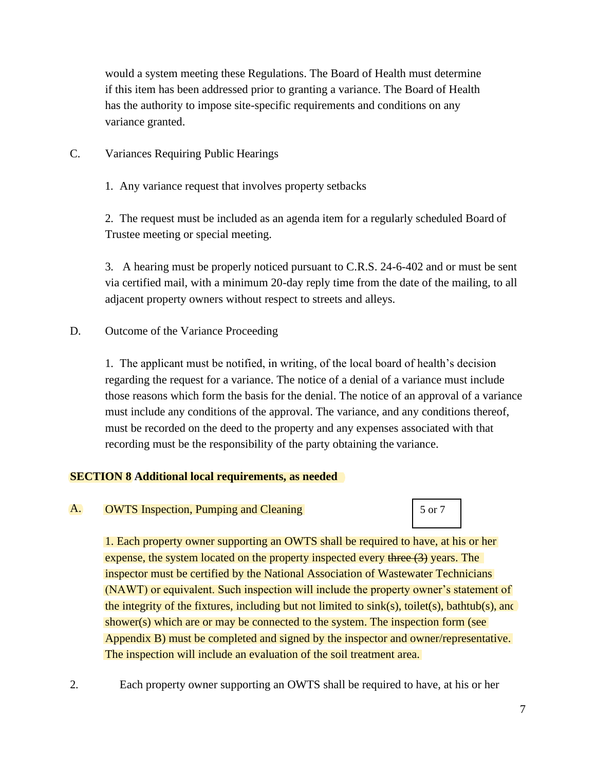would a system meeting these Regulations. The Board of Health must determine if this item has been addressed prior to granting a variance. The Board of Health has the authority to impose site-specific requirements and conditions on any variance granted.

- C. Variances Requiring Public Hearings
	- 1. Any variance request that involves property setbacks

2. The request must be included as an agenda item for a regularly scheduled Board of Trustee meeting or special meeting.

3. A hearing must be properly noticed pursuant to C.R.S. 24-6-402 and or must be sent via certified mail, with a minimum 20-day reply time from the date of the mailing, to all adjacent property owners without respect to streets and alleys.

D. Outcome of the Variance Proceeding

1. The applicant must be notified, in writing, of the local board of health's decision regarding the request for a variance. The notice of a denial of a variance must include those reasons which form the basis for the denial. The notice of an approval of a variance must include any conditions of the approval. The variance, and any conditions thereof, must be recorded on the deed to the property and any expenses associated with that recording must be the responsibility of the party obtaining the variance.

## **SECTION 8 Additional local requirements, as needed**

A. **OWTS** Inspection, Pumping and Cleaning 6 1 5 or 7

1. Each property owner supporting an OWTS shall be required to have, at his or her expense, the system located on the property inspected every three (3) years. The inspector must be certified by the National Association of Wastewater Technicians (NAWT) or equivalent. Such inspection will include the property owner's statement of the integrity of the fixtures, including but not limited to  $sink(s)$ , toilet(s), bathtub(s), and shower(s) which are or may be connected to the system. The inspection form (see Appendix B) must be completed and signed by the inspector and owner/representative. The inspection will include an evaluation of the soil treatment area.

2. Each property owner supporting an OWTS shall be required to have, at his or her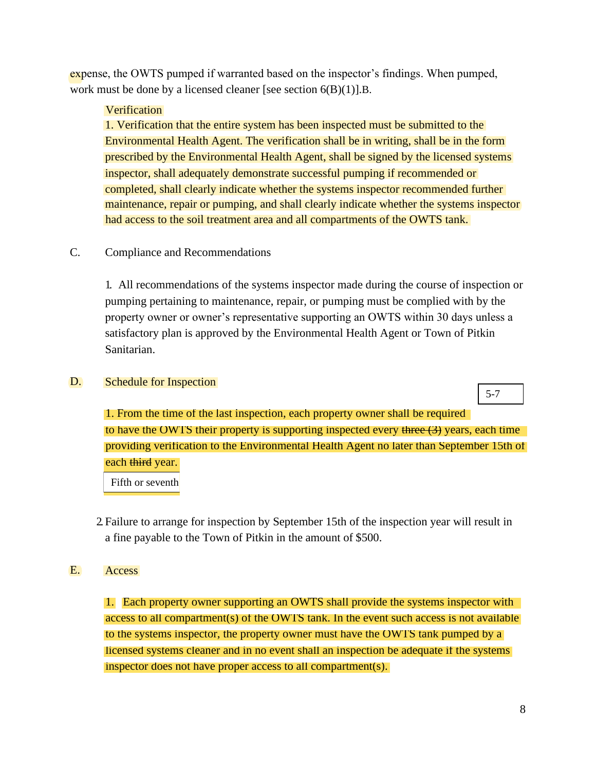expense, the OWTS pumped if warranted based on the inspector's findings. When pumped, work must be done by a licensed cleaner [see section 6(B)(1)].B.

### Verification

maintenance, repair or pumping, and shall clearly indicate whether the systems inspector had access to the soil treatment area and all compartments of the OWTS tank. 1. Verification that the entire system has been inspected must be submitted to the Environmental Health Agent. The verification shall be in writing, shall be in the form prescribed by the Environmental Health Agent, shall be signed by the licensed systems inspector, shall adequately demonstrate successful pumping if recommended or completed, shall clearly indicate whether the systems inspector recommended further

## C. Compliance and Recommendations

1. All recommendations of the systems inspector made during the course of inspection or pumping pertaining to maintenance, repair, or pumping must be complied with by the property owner or owner's representative supporting an OWTS within 30 days unless a satisfactory plan is approved by the Environmental Health Agent or Town of Pitkin Sanitarian.

#### D. Schedule for Inspection

5-7

1. From the time of the last inspection, each property owner shall be required to have the OWTS their property is supporting inspected every three  $(3)$  years, each time providing verification to the Environmental Health Agent no later than September 15th of each third year.

Fifth or seventh

2.Failure to arrange for inspection by September 15th of the inspection year will result in a fine payable to the Town of Pitkin in the amount of \$500.

#### E. Access

1. Each property owner supporting an OWTS shall provide the systems inspector with access to all compartment(s) of the OWTS tank. In the event such access is not available to the systems inspector, the property owner must have the OWTS tank pumped by a licensed systems cleaner and in no event shall an inspection be adequate if the systems inspector does not have proper access to all compartment(s).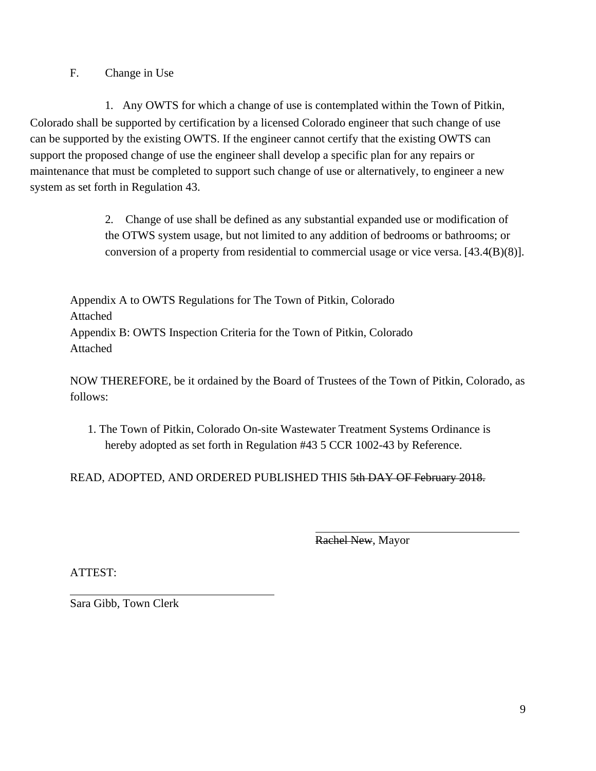F. Change in Use

1. Any OWTS for which a change of use is contemplated within the Town of Pitkin, Colorado shall be supported by certification by a licensed Colorado engineer that such change of use can be supported by the existing OWTS. If the engineer cannot certify that the existing OWTS can support the proposed change of use the engineer shall develop a specific plan for any repairs or maintenance that must be completed to support such change of use or alternatively, to engineer a new system as set forth in Regulation 43.

> 2. Change of use shall be defined as any substantial expanded use or modification of the OTWS system usage, but not limited to any addition of bedrooms or bathrooms; or conversion of a property from residential to commercial usage or vice versa. [43.4(B)(8)].

Appendix A to OWTS Regulations for The Town of Pitkin, Colorado Attached Appendix B: OWTS Inspection Criteria for the Town of Pitkin, Colorado Attached

NOW THEREFORE, be it ordained by the Board of Trustees of the Town of Pitkin, Colorado, as follows:

1. The Town of Pitkin, Colorado On-site Wastewater Treatment Systems Ordinance is hereby adopted as set forth in Regulation #43 5 CCR 1002-43 by Reference.

READ, ADOPTED, AND ORDERED PUBLISHED THIS 5th DAY OF February 2018.

Rachel New, Mayor

ATTEST:

Sara Gibb, Town Clerk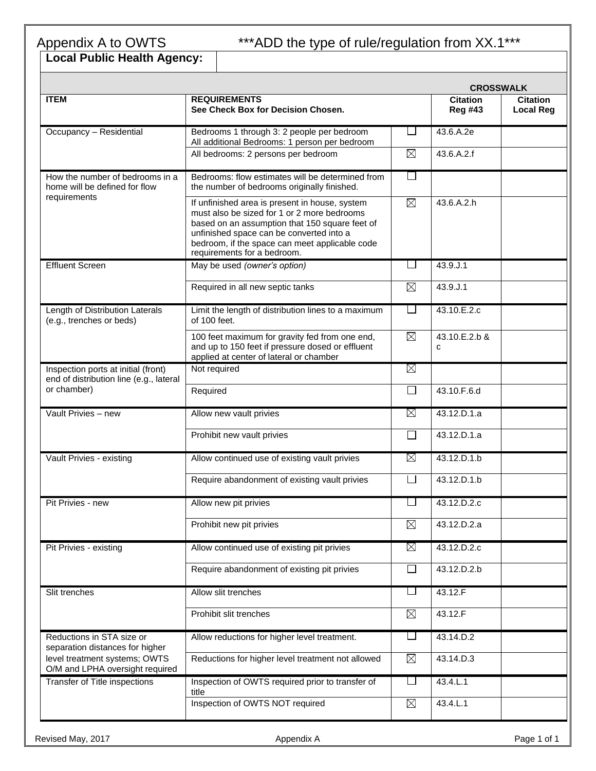# \*\*\*ADD the type of rule/regulation from XX.1\*\*\*

# Appendix A to OWTS<br>Local Public Health Agency:

|                                                                                |                                                                                                                                                                                                                                                                              |              | <b>CROSSWALK</b>                  |                                     |
|--------------------------------------------------------------------------------|------------------------------------------------------------------------------------------------------------------------------------------------------------------------------------------------------------------------------------------------------------------------------|--------------|-----------------------------------|-------------------------------------|
| <b>ITEM</b>                                                                    | <b>REQUIREMENTS</b><br>See Check Box for Decision Chosen.                                                                                                                                                                                                                    |              | <b>Citation</b><br><b>Reg #43</b> | <b>Citation</b><br><b>Local Reg</b> |
| Occupancy - Residential                                                        | Bedrooms 1 through 3: 2 people per bedroom<br>All additional Bedrooms: 1 person per bedroom                                                                                                                                                                                  | $\mathsf{L}$ | 43.6.A.2e                         |                                     |
|                                                                                | All bedrooms: 2 persons per bedroom                                                                                                                                                                                                                                          | $\times$     | 43.6.A.2.f                        |                                     |
| How the number of bedrooms in a<br>home will be defined for flow               | Bedrooms: flow estimates will be determined from<br>the number of bedrooms originally finished.                                                                                                                                                                              |              |                                   |                                     |
| requirements                                                                   | If unfinished area is present in house, system<br>must also be sized for 1 or 2 more bedrooms<br>based on an assumption that 150 square feet of<br>unfinished space can be converted into a<br>bedroom, if the space can meet applicable code<br>requirements for a bedroom. | X            | 43.6.A.2.h                        |                                     |
| <b>Effluent Screen</b>                                                         | May be used (owner's option)                                                                                                                                                                                                                                                 | $\Box$       | 43.9.J.1                          |                                     |
|                                                                                | Required in all new septic tanks                                                                                                                                                                                                                                             | $\boxtimes$  | 43.9.J.1                          |                                     |
| Length of Distribution Laterals<br>(e.g., trenches or beds)                    | Limit the length of distribution lines to a maximum<br>of 100 feet.                                                                                                                                                                                                          |              | 43.10.E.2.c                       |                                     |
|                                                                                | 100 feet maximum for gravity fed from one end,<br>and up to 150 feet if pressure dosed or effluent<br>applied at center of lateral or chamber                                                                                                                                | X            | 43.10.E.2.b &<br>C                |                                     |
| Inspection ports at initial (front)<br>end of distribution line (e.g., lateral | Not required                                                                                                                                                                                                                                                                 | X            |                                   |                                     |
| or chamber)                                                                    | Required                                                                                                                                                                                                                                                                     | $\Box$       | 43.10.F.6.d                       |                                     |
| Vault Privies - new                                                            | Allow new vault privies                                                                                                                                                                                                                                                      | X            | 43.12.D.1.a                       |                                     |
|                                                                                | Prohibit new vault privies                                                                                                                                                                                                                                                   | $\Box$       | 43.12.D.1.a                       |                                     |
| Vault Privies - existing                                                       | Allow continued use of existing vault privies                                                                                                                                                                                                                                | X            | 43.12.D.1.b                       |                                     |
|                                                                                | Require abandonment of existing vault privies                                                                                                                                                                                                                                |              | 43.12.D.1.b                       |                                     |
| Pit Privies - new                                                              | Allow new pit privies                                                                                                                                                                                                                                                        |              | 43.12.D.2.c                       |                                     |
|                                                                                | Prohibit new pit privies                                                                                                                                                                                                                                                     | X            | 43.12.D.2.a                       |                                     |
| Pit Privies - existing                                                         | Allow continued use of existing pit privies                                                                                                                                                                                                                                  | X            | 43.12.D.2.c                       |                                     |
|                                                                                | Require abandonment of existing pit privies                                                                                                                                                                                                                                  |              | 43.12.D.2.b                       |                                     |
| Slit trenches                                                                  | Allow slit trenches                                                                                                                                                                                                                                                          | $\mathsf{L}$ | 43.12.F                           |                                     |
|                                                                                | Prohibit slit trenches                                                                                                                                                                                                                                                       | $\boxtimes$  | 43.12.F                           |                                     |
| Reductions in STA size or<br>separation distances for higher                   | Allow reductions for higher level treatment.                                                                                                                                                                                                                                 | $\mathsf{L}$ | 43.14.D.2                         |                                     |
| level treatment systems; OWTS<br>O/M and LPHA oversight required               | Reductions for higher level treatment not allowed                                                                                                                                                                                                                            | $\boxtimes$  | 43.14.D.3                         |                                     |
| <b>Transfer of Title inspections</b>                                           | Inspection of OWTS required prior to transfer of<br>title                                                                                                                                                                                                                    | ப            | 43.4.L.1                          |                                     |
|                                                                                | Inspection of OWTS NOT required                                                                                                                                                                                                                                              | $\boxtimes$  | 43.4.L.1                          |                                     |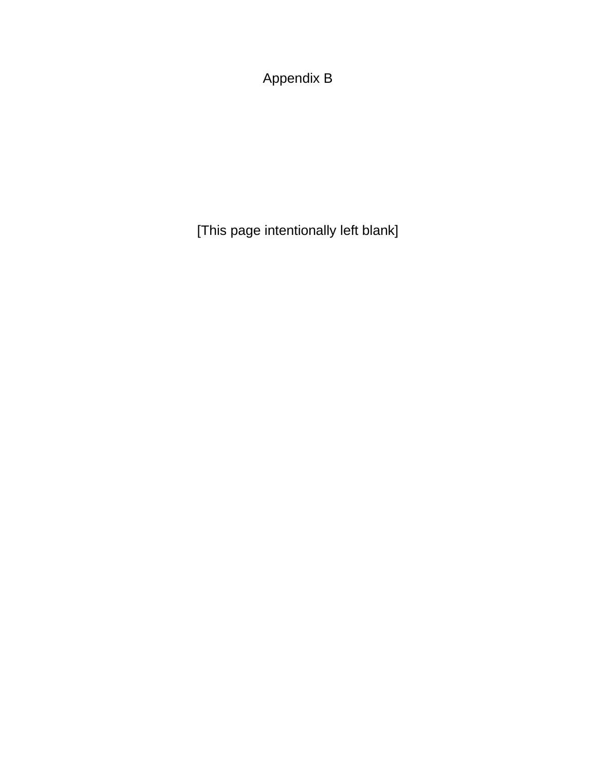Appendix B

[This page intentionally left blank]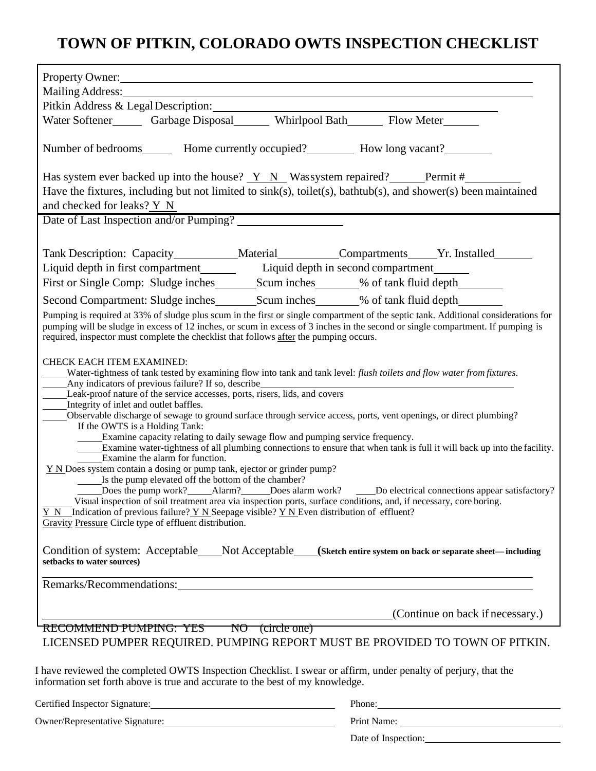# **TOWN OF PITKIN, COLORADO OWTS INSPECTION CHECKLIST**

| Property Owner:                                                                                                                                                                                                                                                                                                                                                                                                                                                                                                                                                                                                                                                                                                                                                                                                                                                                                                                                                                                                                                                                                                                                                                                                                                                                                                                                                                                                                   |                                                                                                                                                                                                                               |  |  |  |  |  |
|-----------------------------------------------------------------------------------------------------------------------------------------------------------------------------------------------------------------------------------------------------------------------------------------------------------------------------------------------------------------------------------------------------------------------------------------------------------------------------------------------------------------------------------------------------------------------------------------------------------------------------------------------------------------------------------------------------------------------------------------------------------------------------------------------------------------------------------------------------------------------------------------------------------------------------------------------------------------------------------------------------------------------------------------------------------------------------------------------------------------------------------------------------------------------------------------------------------------------------------------------------------------------------------------------------------------------------------------------------------------------------------------------------------------------------------|-------------------------------------------------------------------------------------------------------------------------------------------------------------------------------------------------------------------------------|--|--|--|--|--|
| Mailing Address: National Address: National Address: National Address: National Address: National Address: National Address: National Address: National Address: National Address: National Address: National Address: Nationa                                                                                                                                                                                                                                                                                                                                                                                                                                                                                                                                                                                                                                                                                                                                                                                                                                                                                                                                                                                                                                                                                                                                                                                                    |                                                                                                                                                                                                                               |  |  |  |  |  |
| Pitkin Address & Legal Description: No. 1996. The Second State of the Second State of the Second State of the Second State of the Second State of the Second State of the Second State of the Second State of the Second State                                                                                                                                                                                                                                                                                                                                                                                                                                                                                                                                                                                                                                                                                                                                                                                                                                                                                                                                                                                                                                                                                                                                                                                                    |                                                                                                                                                                                                                               |  |  |  |  |  |
| Water Softener_______ Garbage Disposal________ Whirlpool Bath_______ Flow Meter_______                                                                                                                                                                                                                                                                                                                                                                                                                                                                                                                                                                                                                                                                                                                                                                                                                                                                                                                                                                                                                                                                                                                                                                                                                                                                                                                                            |                                                                                                                                                                                                                               |  |  |  |  |  |
| Number of bedrooms________ Home currently occupied?____________ How long vacant?__________                                                                                                                                                                                                                                                                                                                                                                                                                                                                                                                                                                                                                                                                                                                                                                                                                                                                                                                                                                                                                                                                                                                                                                                                                                                                                                                                        |                                                                                                                                                                                                                               |  |  |  |  |  |
| Has system ever backed up into the house? Y N Wassystem repaired? Permit #                                                                                                                                                                                                                                                                                                                                                                                                                                                                                                                                                                                                                                                                                                                                                                                                                                                                                                                                                                                                                                                                                                                                                                                                                                                                                                                                                        |                                                                                                                                                                                                                               |  |  |  |  |  |
| Have the fixtures, including but not limited to $sink(s)$ , toilet(s), bathtub(s), and shower(s) been maintained                                                                                                                                                                                                                                                                                                                                                                                                                                                                                                                                                                                                                                                                                                                                                                                                                                                                                                                                                                                                                                                                                                                                                                                                                                                                                                                  |                                                                                                                                                                                                                               |  |  |  |  |  |
| and checked for leaks? Y N                                                                                                                                                                                                                                                                                                                                                                                                                                                                                                                                                                                                                                                                                                                                                                                                                                                                                                                                                                                                                                                                                                                                                                                                                                                                                                                                                                                                        |                                                                                                                                                                                                                               |  |  |  |  |  |
| Date of Last Inspection and/or Pumping?                                                                                                                                                                                                                                                                                                                                                                                                                                                                                                                                                                                                                                                                                                                                                                                                                                                                                                                                                                                                                                                                                                                                                                                                                                                                                                                                                                                           |                                                                                                                                                                                                                               |  |  |  |  |  |
|                                                                                                                                                                                                                                                                                                                                                                                                                                                                                                                                                                                                                                                                                                                                                                                                                                                                                                                                                                                                                                                                                                                                                                                                                                                                                                                                                                                                                                   |                                                                                                                                                                                                                               |  |  |  |  |  |
| Tank Description: Capacity___________Material__________Compartments_____Yr. Installed_______                                                                                                                                                                                                                                                                                                                                                                                                                                                                                                                                                                                                                                                                                                                                                                                                                                                                                                                                                                                                                                                                                                                                                                                                                                                                                                                                      |                                                                                                                                                                                                                               |  |  |  |  |  |
| Liquid depth in first compartment Liquid depth in second compartment                                                                                                                                                                                                                                                                                                                                                                                                                                                                                                                                                                                                                                                                                                                                                                                                                                                                                                                                                                                                                                                                                                                                                                                                                                                                                                                                                              |                                                                                                                                                                                                                               |  |  |  |  |  |
|                                                                                                                                                                                                                                                                                                                                                                                                                                                                                                                                                                                                                                                                                                                                                                                                                                                                                                                                                                                                                                                                                                                                                                                                                                                                                                                                                                                                                                   |                                                                                                                                                                                                                               |  |  |  |  |  |
| Second Compartment: Sludge inches________________________________% of tank fluid depth_____________                                                                                                                                                                                                                                                                                                                                                                                                                                                                                                                                                                                                                                                                                                                                                                                                                                                                                                                                                                                                                                                                                                                                                                                                                                                                                                                               |                                                                                                                                                                                                                               |  |  |  |  |  |
| Pumping is required at 33% of sludge plus scum in the first or single compartment of the septic tank. Additional considerations for<br>pumping will be sludge in excess of 12 inches, or scum in excess of 3 inches in the second or single compartment. If pumping is<br>required, inspector must complete the checklist that follows after the pumping occurs.                                                                                                                                                                                                                                                                                                                                                                                                                                                                                                                                                                                                                                                                                                                                                                                                                                                                                                                                                                                                                                                                  |                                                                                                                                                                                                                               |  |  |  |  |  |
| <b>CHECK EACH ITEM EXAMINED:</b><br>Water-tightness of tank tested by examining flow into tank and tank level: flush toilets and flow water from fixtures.<br>Any indicators of previous failure? If so, describe<br>Leak-proof nature of the service accesses, ports, risers, lids, and covers<br>Integrity of inlet and outlet baffles.<br>Observable discharge of sewage to ground surface through service access, ports, vent openings, or direct plumbing?<br>If the OWTS is a Holding Tank:<br>_____Examine capacity relating to daily sewage flow and pumping service frequency.<br>Examine water-tightness of all plumbing connections to ensure that when tank is full it will back up into the facility.<br>Examine the alarm for function.<br>$Y N$ Does system contain a dosing or pump tank, ejector or grinder pump?<br>Is the pump elevated off the bottom of the chamber?<br>Does the pump work? Alarm? Does alarm work? Do electrical connections appear satisfactory?<br>Visual inspection of soil treatment area via inspection ports, surface conditions, and, if necessary, core boring.<br>$Y \ N$ Indication of previous failure? $Y \ N$ Seepage visible? $Y \ N$ Even distribution of effluent?<br>Gravity Pressure Circle type of effluent distribution.<br>Condition of system: Acceptable____Not Acceptable___(Sketch entire system on back or separate sheet-including<br>setbacks to water sources) |                                                                                                                                                                                                                               |  |  |  |  |  |
| and the control of the control of the control of the control of the control of the control of the control of the                                                                                                                                                                                                                                                                                                                                                                                                                                                                                                                                                                                                                                                                                                                                                                                                                                                                                                                                                                                                                                                                                                                                                                                                                                                                                                                  |                                                                                                                                                                                                                               |  |  |  |  |  |
| Remarks/Recommendations: Campaigneer and the community of the community of the community of the community of the community of the community of the community of the community of the community of the community of the communi                                                                                                                                                                                                                                                                                                                                                                                                                                                                                                                                                                                                                                                                                                                                                                                                                                                                                                                                                                                                                                                                                                                                                                                                    |                                                                                                                                                                                                                               |  |  |  |  |  |
|                                                                                                                                                                                                                                                                                                                                                                                                                                                                                                                                                                                                                                                                                                                                                                                                                                                                                                                                                                                                                                                                                                                                                                                                                                                                                                                                                                                                                                   | (Continue on back if necessary.)                                                                                                                                                                                              |  |  |  |  |  |
| RECOMMEND PUMPING: YES NO (circle one)<br>LICENSED PUMPER REQUIRED. PUMPING REPORT MUST BE PROVIDED TO TOWN OF PITKIN.                                                                                                                                                                                                                                                                                                                                                                                                                                                                                                                                                                                                                                                                                                                                                                                                                                                                                                                                                                                                                                                                                                                                                                                                                                                                                                            |                                                                                                                                                                                                                               |  |  |  |  |  |
|                                                                                                                                                                                                                                                                                                                                                                                                                                                                                                                                                                                                                                                                                                                                                                                                                                                                                                                                                                                                                                                                                                                                                                                                                                                                                                                                                                                                                                   |                                                                                                                                                                                                                               |  |  |  |  |  |
| I have reviewed the completed OWTS Inspection Checklist. I swear or affirm, under penalty of perjury, that the<br>information set forth above is true and accurate to the best of my knowledge.                                                                                                                                                                                                                                                                                                                                                                                                                                                                                                                                                                                                                                                                                                                                                                                                                                                                                                                                                                                                                                                                                                                                                                                                                                   |                                                                                                                                                                                                                               |  |  |  |  |  |
|                                                                                                                                                                                                                                                                                                                                                                                                                                                                                                                                                                                                                                                                                                                                                                                                                                                                                                                                                                                                                                                                                                                                                                                                                                                                                                                                                                                                                                   | Phone: Note and the set of the set of the set of the set of the set of the set of the set of the set of the set of the set of the set of the set of the set of the set of the set of the set of the set of the set of the set |  |  |  |  |  |
|                                                                                                                                                                                                                                                                                                                                                                                                                                                                                                                                                                                                                                                                                                                                                                                                                                                                                                                                                                                                                                                                                                                                                                                                                                                                                                                                                                                                                                   |                                                                                                                                                                                                                               |  |  |  |  |  |
|                                                                                                                                                                                                                                                                                                                                                                                                                                                                                                                                                                                                                                                                                                                                                                                                                                                                                                                                                                                                                                                                                                                                                                                                                                                                                                                                                                                                                                   |                                                                                                                                                                                                                               |  |  |  |  |  |